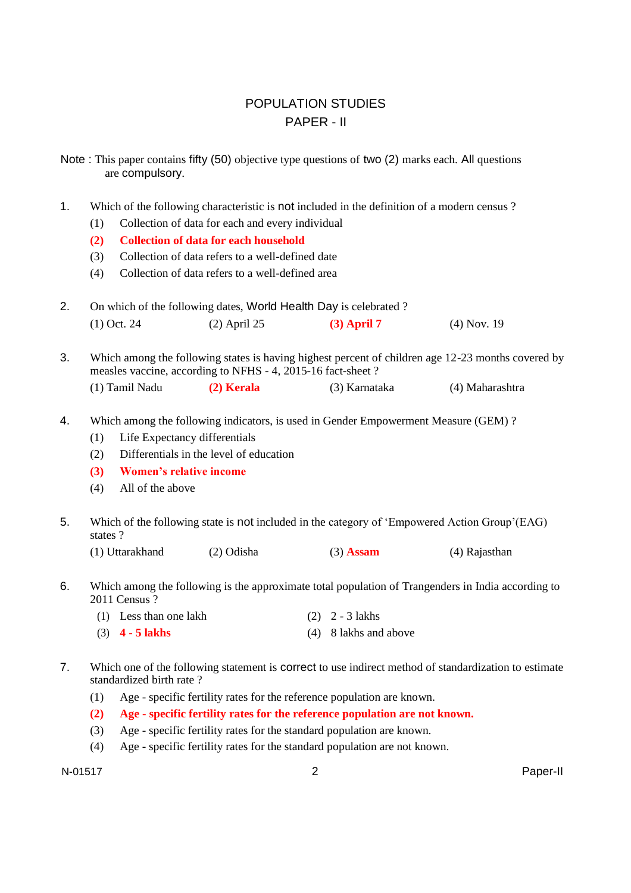# POPULATION STUDIES PAPER - II

Note : This paper contains fifty (50) objective type questions of two (2) marks each. All questions are compulsory.

1. Which of the following characteristic is not included in the definition of a modern census ?

- (1) Collection of data for each and every individual
- **(2) Collection of data for each household**
- (3) Collection of data refers to a well-defined date
- (4) Collection of data refers to a well-defined area

| On which of the following dates, World Health Day is celebrated? |                |               |               |  |
|------------------------------------------------------------------|----------------|---------------|---------------|--|
| $(1)$ Oct. 24                                                    | $(2)$ April 25 | $(3)$ April 7 | $(4)$ Nov. 19 |  |

3. Which among the following states is having highest percent of children age 12-23 months covered by measles vaccine, according to NFHS - 4, 2015-16 fact-sheet ? (1) Tamil Nadu **(2) Kerala** (3) Karnataka (4) Maharashtra

- 4. Which among the following indicators, is used in Gender Empowerment Measure (GEM) ?
	- (1) Life Expectancy differentials
	- (2) Differentials in the level of education
	- **(3) Women's relative income**
	- (4) All of the above
- 5. Which of the following state is not included in the category of 'Empowered Action Group'(EAG) states ?
	- (1) Uttarakhand (2) Odisha (3) **Assam** (4) Rajasthan

6. Which among the following is the approximate total population of Trangenders in India according to 2011 Census ?

| (1) Less than one lakh | $(2)$ 2 - 3 lakhs     |
|------------------------|-----------------------|
| $(3)$ 4 - 5 lakhs      | (4) 8 lakhs and above |

- 7. Which one of the following statement is correct to use indirect method of standardization to estimate standardized birth rate ?
	- (1) Age specific fertility rates for the reference population are known.
	- **(2) Age - specific fertility rates for the reference population are not known.**
	- (3) Age specific fertility rates for the standard population are known.
	- (4) Age specific fertility rates for the standard population are not known.

N-01517 2 Paper-II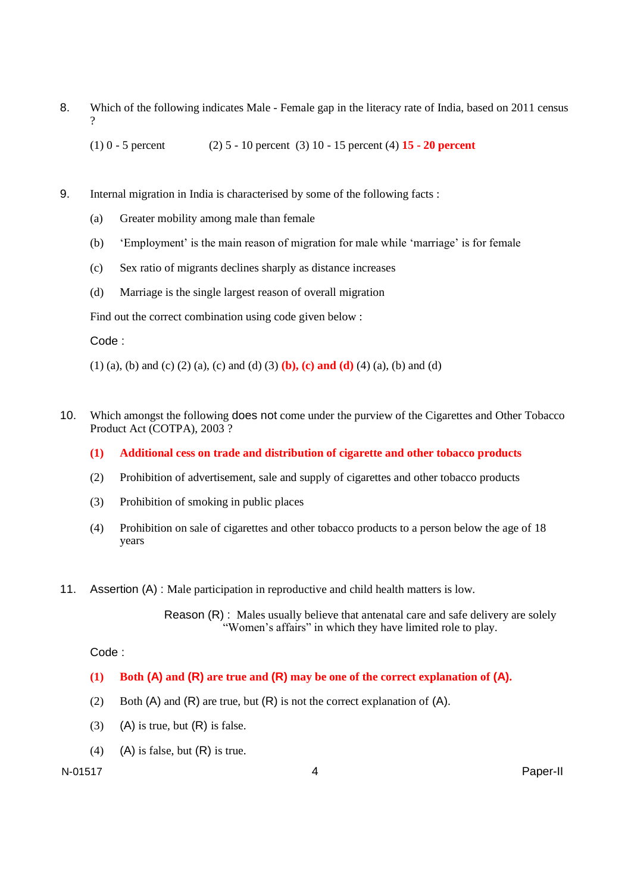8. Which of the following indicates Male - Female gap in the literacy rate of India, based on 2011 census  $\gamma$ 

(1) 0 - 5 percent (2) 5 - 10 percent (3) 10 - 15 percent (4) **15 - 20 percent**

- 9. Internal migration in India is characterised by some of the following facts :
	- (a) Greater mobility among male than female
	- (b) 'Employment' is the main reason of migration for male while 'marriage' is for female
	- (c) Sex ratio of migrants declines sharply as distance increases
	- (d) Marriage is the single largest reason of overall migration

Find out the correct combination using code given below :

### Code :

- (1) (a), (b) and (c) (2) (a), (c) and (d) (3) **(b), (c) and (d)** (4) (a), (b) and (d)
- 10. Which amongst the following does not come under the purview of the Cigarettes and Other Tobacco Product Act (COTPA), 2003 ?
	- **(1) Additional cess on trade and distribution of cigarette and other tobacco products**
	- (2) Prohibition of advertisement, sale and supply of cigarettes and other tobacco products
	- (3) Prohibition of smoking in public places
	- (4) Prohibition on sale of cigarettes and other tobacco products to a person below the age of 18 years
- 11. Assertion (A) : Male participation in reproductive and child health matters is low.

Reason (R) : Males usually believe that antenatal care and safe delivery are solely "Women's affairs" in which they have limited role to play.

### Code :

- **(1) Both (A) and (R) are true and (R) may be one of the correct explanation of (A).**
- (2) Both  $(A)$  and  $(R)$  are true, but  $(R)$  is not the correct explanation of  $(A)$ .
- (3) (A) is true, but  $(R)$  is false.
- (4) (A) is false, but  $(R)$  is true.

N-01517 4 Paper-II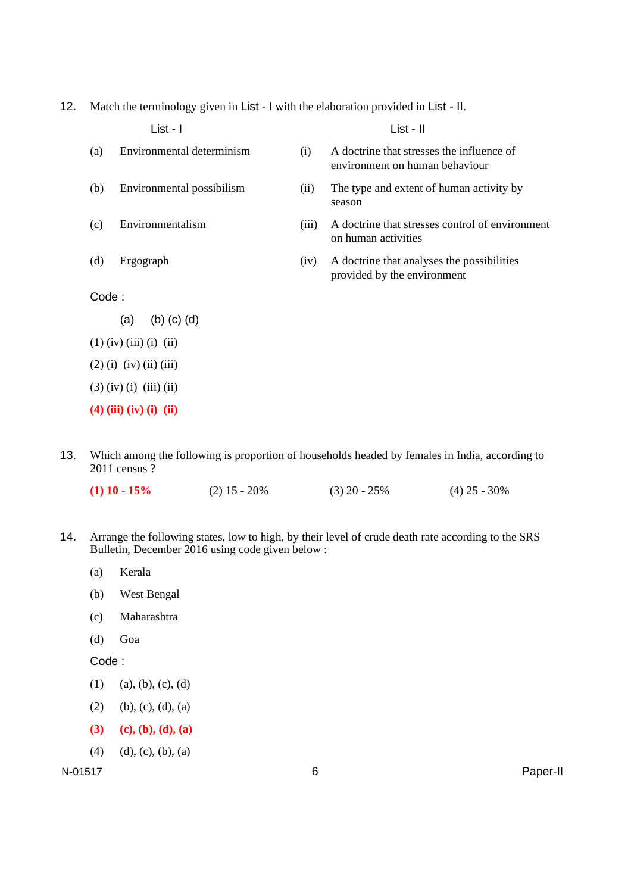12. Match the terminology given in List - I with the elaboration provided in List - II.

|       | List - I                  |       | List - II                                                                   |
|-------|---------------------------|-------|-----------------------------------------------------------------------------|
| (a)   | Environmental determinism | (i)   | A doctrine that stresses the influence of<br>environment on human behaviour |
| (b)   | Environmental possibilism | (ii)  | The type and extent of human activity by<br>season                          |
| (c)   | Environmentalism          | (iii) | A doctrine that stresses control of environment<br>on human activities      |
| (d)   | Ergograph                 | (iv)  | A doctrine that analyses the possibilities<br>provided by the environment   |
| Code: |                           |       |                                                                             |
|       | $(b)$ $(c)$ $(d)$<br>(a)  |       |                                                                             |
|       | $(1)$ (iv) (iii) (i) (ii) |       |                                                                             |
|       | $(2)$ (i) (iv) (ii) (iii) |       |                                                                             |
|       | $(3)$ (iv) (i) (iii) (ii) |       |                                                                             |
|       | $(4)$ (iii) (iv) (i) (ii) |       |                                                                             |

13. Which among the following is proportion of households headed by females in India, according to 2011 census ?

| $(1)$ 10 - 15% | $(2)$ 15 - 20% | $(3)$ 20 - 25% | $(4)$ 25 - 30% |
|----------------|----------------|----------------|----------------|
|                |                |                |                |

- 14. Arrange the following states, low to high, by their level of crude death rate according to the SRS Bulletin, December 2016 using code given below :
	- (a) Kerala
	- (b) West Bengal
	- (c) Maharashtra
	- (d) Goa

Code :

- $(1)$  (a), (b), (c), (d)
- (2) (b), (c), (d), (a)
- **(3) (c), (b), (d), (a)**
- $(4)$   $(d), (c), (b), (a)$

N-01517 6 Paper-II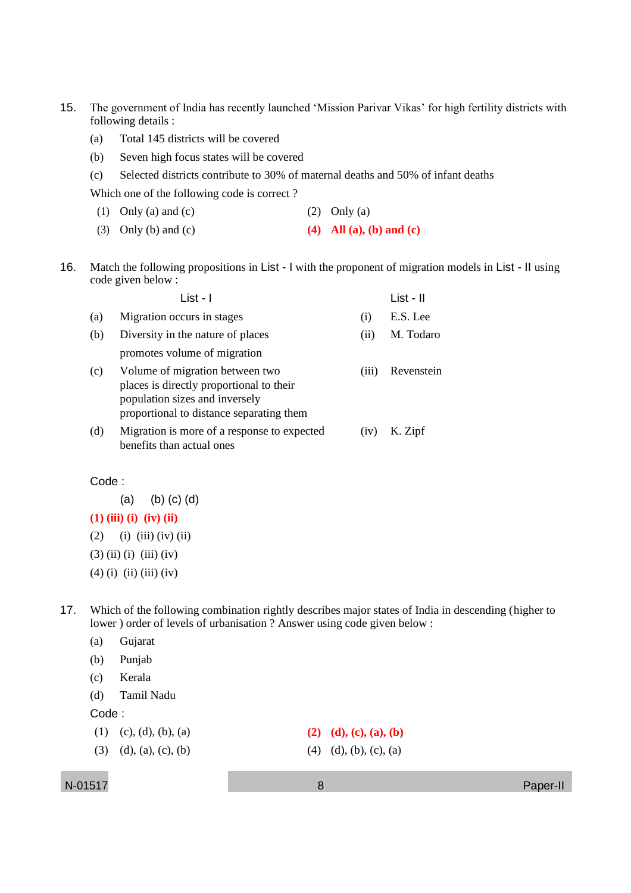- 15. The government of India has recently launched 'Mission Parivar Vikas' for high fertility districts with following details :
	- (a) Total 145 districts will be covered
	- (b) Seven high focus states will be covered
	- (c) Selected districts contribute to 30% of maternal deaths and 50% of infant deaths

Which one of the following code is correct ?

- (1) Only (a) and (c)  $(2)$  Only (a)
- (3) Only (b) and (c) **(4) All (a), (b) and (c)**
- 16. Match the following propositions in List I with the proponent of migration models in List II using code given below :

|     | List - I                                                                                                                                                  |       | List - II  |
|-----|-----------------------------------------------------------------------------------------------------------------------------------------------------------|-------|------------|
| (a) | Migration occurs in stages                                                                                                                                | (1)   | E.S. Lee   |
| (b) | Diversity in the nature of places                                                                                                                         | (11)  | M. Todaro  |
|     | promotes volume of migration                                                                                                                              |       |            |
| (c) | Volume of migration between two<br>places is directly proportional to their<br>population sizes and inversely<br>proportional to distance separating them | (111) | Revenstein |
| (d) | Migration is more of a response to expected<br>benefits than actual ones                                                                                  | (1V)  | K. Zipf    |

### Code :

(a) (b) (c) (d)

**(1) (iii) (i) (iv) (ii)**

 $(2)$  (i) (iii) (iv) (ii)

- $(3)$  (ii) (i) (iii) (iv)
- $(4)$  (i) (ii) (iii) (iv)
- 17. Which of the following combination rightly describes major states of India in descending (higher to lower ) order of levels of urbanisation ? Answer using code given below :
	- (a) Gujarat
	- (b) Punjab
	- (c) Kerala
	- (d) Tamil Nadu

Code :

- (1) (c), (d), (b), (a) **(2) (d), (c), (a), (b)**
- (3) (d), (a), (c), (b) (4) (d), (b), (c), (a)

N-01517 8 Paper-II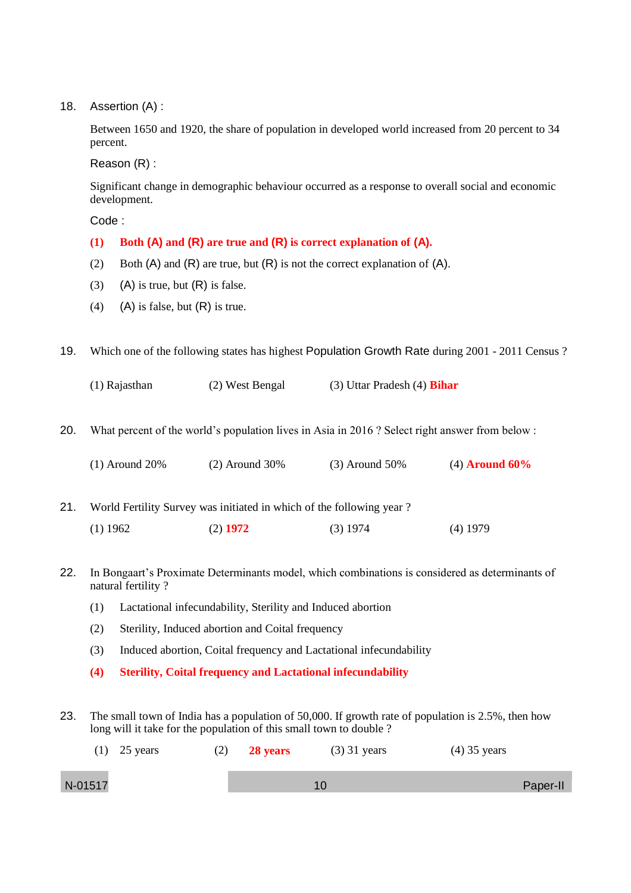18. Assertion (A) :

Between 1650 and 1920, the share of population in developed world increased from 20 percent to 34 percent.

Reason (R) :

Significant change in demographic behaviour occurred as a response to overall social and economic development.

Code :

- **(1) Both (A) and (R) are true and (R) is correct explanation of (A).**
- (2) Both  $(A)$  and  $(R)$  are true, but  $(R)$  is not the correct explanation of  $(A)$ .
- (3) (A) is true, but  $(R)$  is false.
- (4) (A) is false, but  $(R)$  is true.

19. Which one of the following states has highest Population Growth Rate during 2001 - 2011 Census ?

(1) Rajasthan (2) West Bengal (3) Uttar Pradesh (4) **Bihar**

20. What percent of the world's population lives in Asia in 2016 ? Select right answer from below :

| $(1)$ Around 20% | $(2)$ Around 30% | $(3)$ Around 50% | $(4)$ Around 60% |
|------------------|------------------|------------------|------------------|
|------------------|------------------|------------------|------------------|

21. World Fertility Survey was initiated in which of the following year ?

- (1) 1962 (2) **1972** (3) 1974 (4) 1979
- 22. In Bongaart's Proximate Determinants model, which combinations is considered as determinants of natural fertility ?
	- (1) Lactational infecundability, Sterility and Induced abortion
	- (2) Sterility, Induced abortion and Coital frequency
	- (3) Induced abortion, Coital frequency and Lactational infecundability
	- **(4) Sterility, Coital frequency and Lactational infecundability**
- 23. The small town of India has a population of 50,000. If growth rate of population is 2.5%, then how long will it take for the population of this small town to double ?

|         | $(1)$ 25 years | (2) | <b>28 years</b> | $(3)$ 31 years | $(4)$ 35 years |          |
|---------|----------------|-----|-----------------|----------------|----------------|----------|
| N-01517 |                |     |                 |                |                | Paper-II |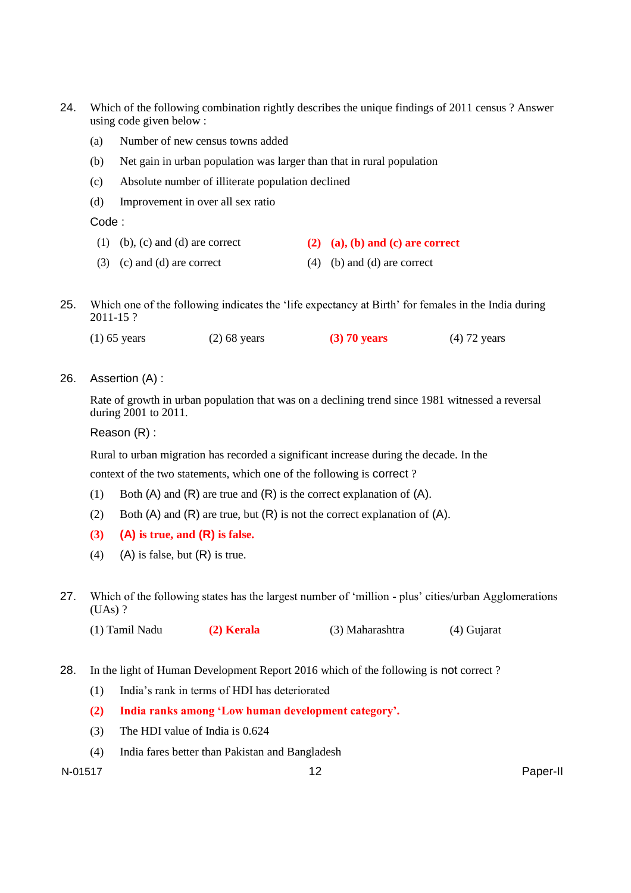- 24. Which of the following combination rightly describes the unique findings of 2011 census ? Answer using code given below :
	- (a) Number of new census towns added
	- (b) Net gain in urban population was larger than that in rural population
	- (c) Absolute number of illiterate population declined
	- (d) Improvement in over all sex ratio

Code :

- (1) (b), (c) and (d) are correct **(2) (a), (b) and (c) are correct**
- (3) (c) and (d) are correct  $(4)$  (b) and (d) are correct
- 25. Which one of the following indicates the 'life expectancy at Birth' for females in the India during 2011-15 ?

| $(1)$ 65 years | $(2)$ 68 years | $(3)$ 70 years | $(4)$ 72 years |
|----------------|----------------|----------------|----------------|
|                |                |                |                |

26. Assertion (A) :

Rate of growth in urban population that was on a declining trend since 1981 witnessed a reversal during 2001 to 2011.

Reason (R) :

Rural to urban migration has recorded a significant increase during the decade. In the

context of the two statements, which one of the following is correct ?

- (1) Both  $(A)$  and  $(R)$  are true and  $(R)$  is the correct explanation of  $(A)$ .
- (2) Both  $(A)$  and  $(R)$  are true, but  $(R)$  is not the correct explanation of  $(A)$ .
- **(3) (A) is true, and (R) is false.**
- (4) (A) is false, but  $(R)$  is true.
- 27. Which of the following states has the largest number of 'million plus' cities/urban Agglomerations (UAs) ?
	- (1) Tamil Nadu **(2) Kerala** (3) Maharashtra (4) Gujarat
- 28. In the light of Human Development Report 2016 which of the following is not correct ?
	- (1) India's rank in terms of HDI has deteriorated
	- **(2) India ranks among 'Low human development category'.**
	- (3) The HDI value of India is 0.624
	- (4) India fares better than Pakistan and Bangladesh

N-01517 12 Paper-II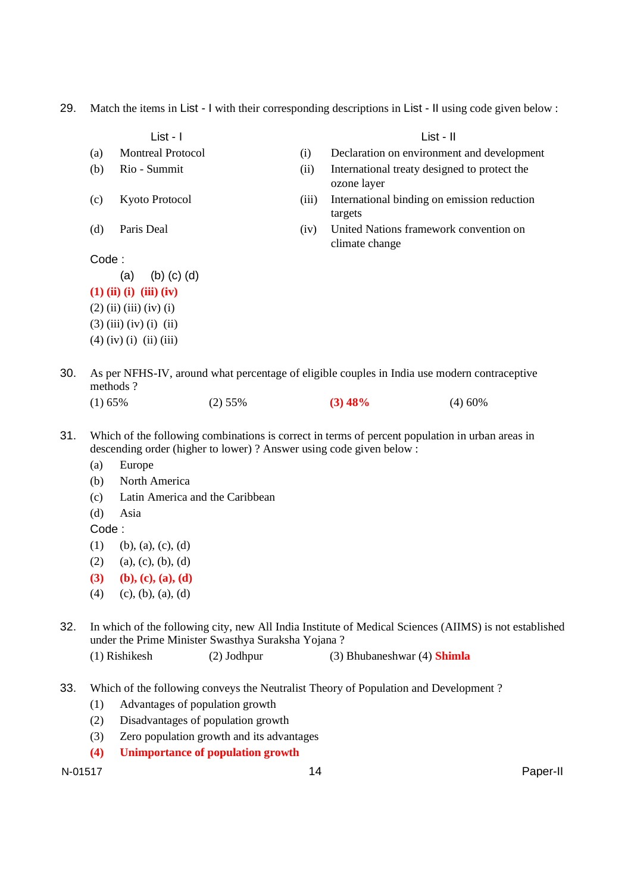29. Match the items in List - I with their corresponding descriptions in List - II using code given below :

List - I List - II (a) Montreal Protocol (i) Declaration on environment and development (b) Rio - Summit (ii) International treaty designed to protect the ozone layer (c) Kyoto Protocol (iii) International binding on emission reduction targets (d) Paris Deal (iv) United Nations framework convention on climate change Code : (a) (b) (c) (d) **(1) (ii) (i) (iii) (iv)**  $(2)$  (ii) (iii) (iv) (i)  $(3)$  (iii) (iv) (i) (ii)  $(4)$  (iv) (i) (ii) (iii) 30. As per NFHS-IV, around what percentage of eligible couples in India use modern contraceptive methods ? (1) 65% (2) 55% **(3) 48%** (4) 60% 31. Which of the following combinations is correct in terms of percent population in urban areas in descending order (higher to lower) ? Answer using code given below : (a) Europe (b) North America (c) Latin America and the Caribbean (d) Asia Code :  $(1)$  (b), (a), (c), (d)  $(2)$  (a), (c), (b), (d) **(3) (b), (c), (a), (d)**  $(4)$  (c), (b), (a), (d)

32. In which of the following city, new All India Institute of Medical Sciences (AIIMS) is not established under the Prime Minister Swasthya Suraksha Yojana ?

(1) Rishikesh (2) Jodhpur (3) Bhubaneshwar (4) **Shimla**

- 33. Which of the following conveys the Neutralist Theory of Population and Development ?
	- (1) Advantages of population growth
	- (2) Disadvantages of population growth
	- (3) Zero population growth and its advantages
	- **(4) Unimportance of population growth**

N-01517 14 Paper-II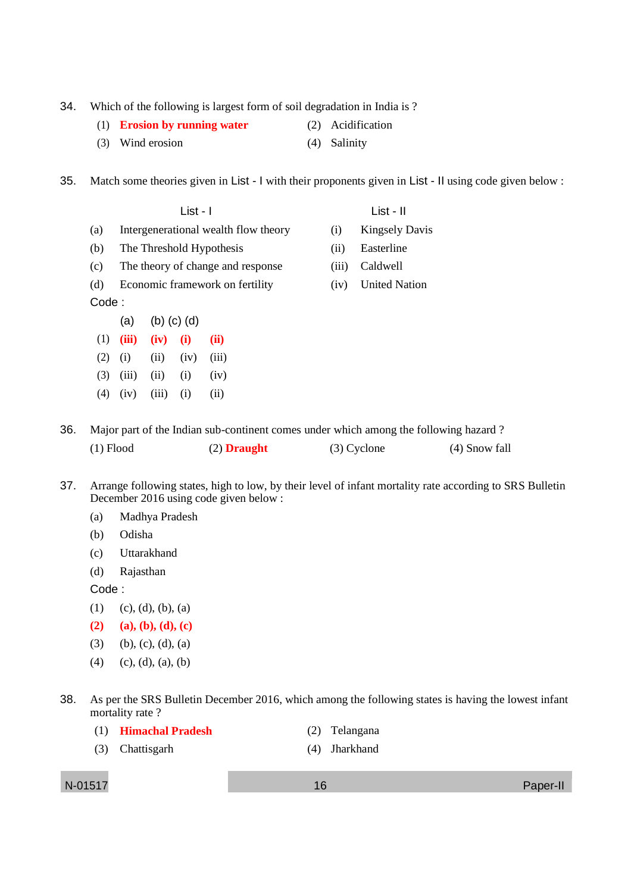- 34. Which of the following is largest form of soil degradation in India is ?
	- (1) **Erosion by running water** (2) Acidification
	- (3) Wind erosion (4) Salinity

35. Match some theories given in List - I with their proponents given in List - II using code given below :

- (b) The Threshold Hypothesis (ii) Easterline (c) The theory of change and response (iii) Caldwell (d) Economic framework on fertility (iv) United Nation
- Code :
- $(a)$  (b)  $(c)$  (d) (1) **(iii) (iv) (i) (ii)**  $(2)$   $(i)$   $(ii)$   $(iv)$   $(iii)$
- $(3)$   $(iii)$   $(ii)$   $(i)$   $(iv)$  $(4)$   $(iv)$   $(iii)$   $(i)$   $(ii)$
- 
- List I
- (a) Intergenerational wealth flow theory (i) Kingsely Davis
	-
	-
	-

- 36. Major part of the Indian sub-continent comes under which among the following hazard ? (1) Flood (2) **Draught** (3) Cyclone (4) Snow fall
- 37. Arrange following states, high to low, by their level of infant mortality rate according to SRS Bulletin December 2016 using code given below :
	- (a) Madhya Pradesh
	- (b) Odisha
	- (c) Uttarakhand
	- (d) Rajasthan

Code :

- $(1)$   $(c), (d), (b), (a)$
- **(2) (a), (b), (d), (c)**
- (3) (b), (c), (d), (a)
- $(4)$  (c), (d), (a), (b)
- 38. As per the SRS Bulletin December 2016, which among the following states is having the lowest infant mortality rate?
	- (1) **Himachal Pradesh** (2) Telangana
	- (3) Chattisgarh (4) Jharkhand

N-01517 16 Paper-II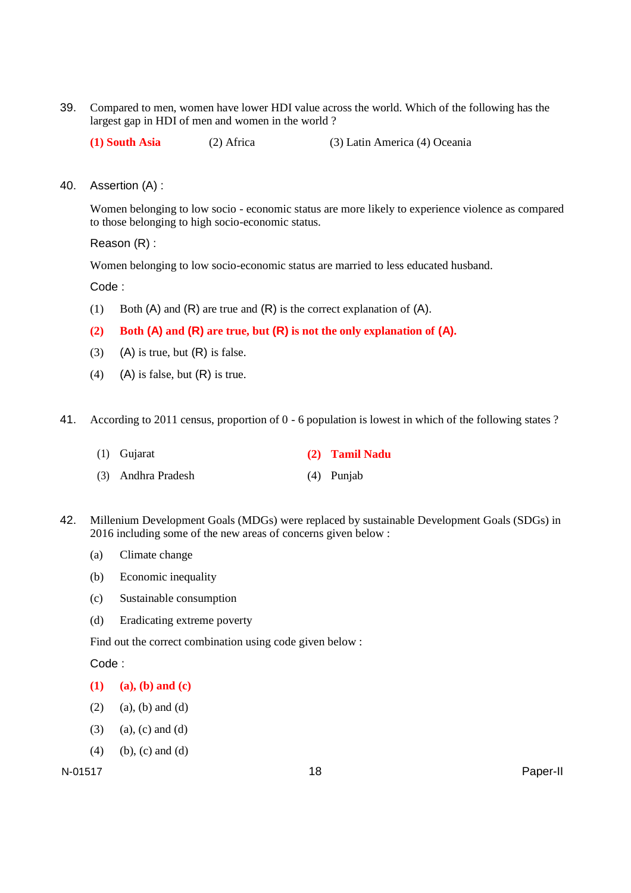39. Compared to men, women have lower HDI value across the world. Which of the following has the largest gap in HDI of men and women in the world ?

**(1) South Asia** (2) Africa (3) Latin America (4) Oceania

40. Assertion (A) :

Women belonging to low socio - economic status are more likely to experience violence as compared to those belonging to high socio-economic status.

Reason (R) :

Women belonging to low socio-economic status are married to less educated husband.

Code :

(1) Both  $(A)$  and  $(R)$  are true and  $(R)$  is the correct explanation of  $(A)$ .

## **(2) Both (A) and (R) are true, but (R) is not the only explanation of (A).**

- (3) (A) is true, but  $(R)$  is false.
- (4) (A) is false, but  $(R)$  is true.
- 41. According to 2011 census, proportion of 0 6 population is lowest in which of the following states ?
	- (1) Gujarat **(2) Tamil Nadu**
	- (3) Andhra Pradesh (4) Punjab
- 42. Millenium Development Goals (MDGs) were replaced by sustainable Development Goals (SDGs) in 2016 including some of the new areas of concerns given below :
	- (a) Climate change
	- (b) Economic inequality
	- (c) Sustainable consumption
	- (d) Eradicating extreme poverty

Find out the correct combination using code given below :

Code :

- **(1) (a), (b) and (c)**
- $(2)$  (a), (b) and (d)
- $(3)$  (a), (c) and (d)
- $(4)$  (b), (c) and (d)

N-01517 18 Paper-II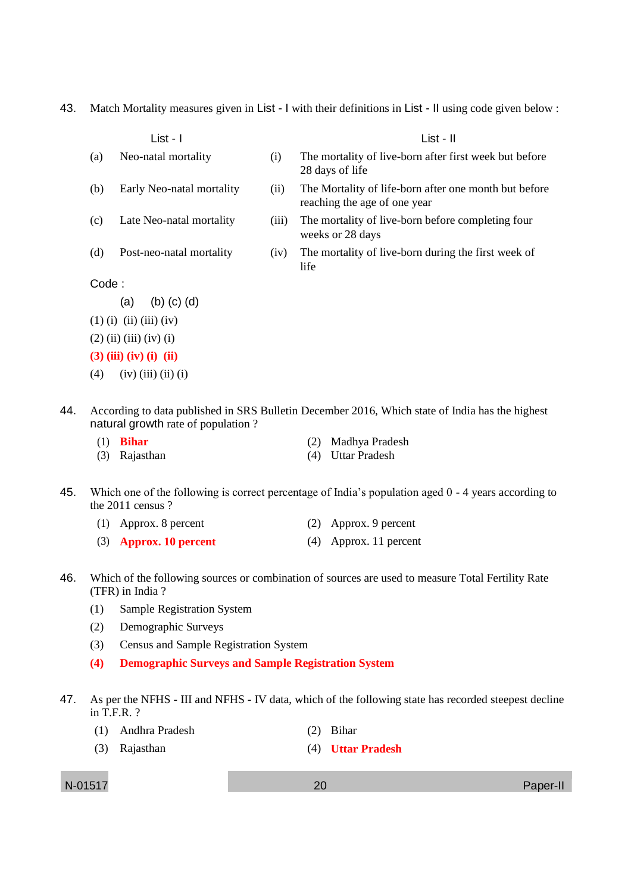43. Match Mortality measures given in List - I with their definitions in List - II using code given below :

|        | List - I                  |       | List - II                                                                             |
|--------|---------------------------|-------|---------------------------------------------------------------------------------------|
| (a)    | Neo-natal mortality       | (i)   | The mortality of live-born after first week but before<br>28 days of life             |
| (b)    | Early Neo-natal mortality | (ii)  | The Mortality of life-born after one month but before<br>reaching the age of one year |
| (c)    | Late Neo-natal mortality  | (iii) | The mortality of live-born before completing four<br>weeks or 28 days                 |
| (d)    | Post-neo-natal mortality  | (iv)  | The mortality of live-born during the first week of<br>life                           |
| Code : |                           |       |                                                                                       |
|        | $(b)$ $(c)$ $(d)$<br>(a)  |       |                                                                                       |
|        | $(1)$ (i) (ii) (iii) (iv) |       |                                                                                       |
|        | $(2)$ (ii) (iii) (iv) (i) |       |                                                                                       |
|        | $(3)$ (iii) (iv) (i) (ii) |       |                                                                                       |
| (4)    | $(iv)$ (iii) (ii) (i)     |       |                                                                                       |

44. According to data published in SRS Bulletin December 2016, Which state of India has the highest natural growth rate of population ?

| $(1)$ <b>Bihar</b> | (2) Madhya Pradesh |
|--------------------|--------------------|
| (3) Rajasthan      | (4) Uttar Pradesh  |

- 45. Which one of the following is correct percentage of India's population aged 0 4 years according to the 2011 census ?
	- (1) Approx. 8 percent (2) Approx. 9 percent
	- (3) **Approx. 10 percent** (4) Approx. 11 percent
- 46. Which of the following sources or combination of sources are used to measure Total Fertility Rate (TFR) in India ?
	- (1) Sample Registration System
	- (2) Demographic Surveys
	- (3) Census and Sample Registration System
	- **(4) Demographic Surveys and Sample Registration System**
- 47. As per the NFHS III and NFHS IV data, which of the following state has recorded steepest decline in T.F.R. ?
	- (1) Andhra Pradesh (2) Bihar
	- (3) Rajasthan (4) **Uttar Pradesh**

N-01517 20 Paper-II